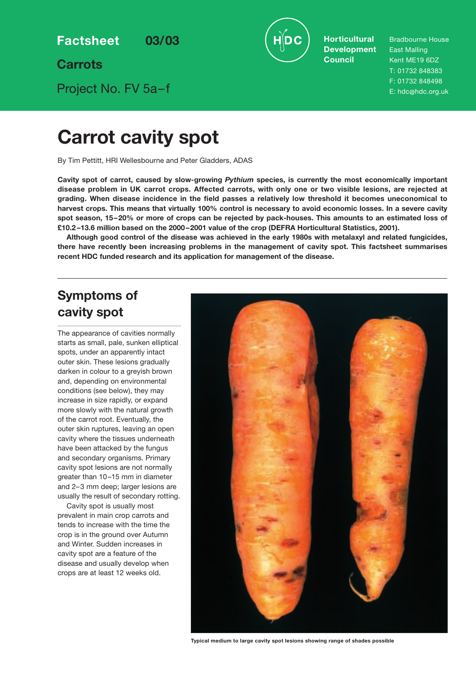**Factsheet 03/03**

**Carrots**

Project No. FV 5a–f

**Horticultural Development Council**

Bradbourne House East Malling Kent ME19 6DZ T: 01732 848383 F: 01732 848498 E: hdc@hdc.org.uk

# **Carrot cavity spot**

By Tim Pettitt, HRI Wellesbourne and Peter Gladders, ADAS

**Cavity spot of carrot, caused by slow-growing** *Pythium* **species, is currently the most economically important disease problem in UK carrot crops. Affected carrots, with only one or two visible lesions, are rejected at grading. When disease incidence in the field passes a relatively low threshold it becomes uneconomical to harvest crops. This means that virtually 100% control is necessary to avoid economic losses. In a severe cavity spot season, 15–20% or more of crops can be rejected by pack-houses. This amounts to an estimated loss of £10.2 –13.6 million based on the 2000–2001 value of the crop (DEFRA Horticultural Statistics, 2001).**

**Although good control of the disease was achieved in the early 1980s with metalaxyl and related fungicides, there have recently been increasing problems in the management of cavity spot. This factsheet summarises recent HDC funded research and its application for management of the disease.**

# **Symptoms of cavity spot**

The appearance of cavities normally starts as small, pale, sunken elliptical spots, under an apparently intact outer skin. These lesions gradually darken in colour to a greyish brown and, depending on environmental conditions (see below), they may increase in size rapidly, or expand more slowly with the natural growth of the carrot root. Eventually, the outer skin ruptures, leaving an open cavity where the tissues underneath have been attacked by the fungus and secondary organisms. Primary cavity spot lesions are not normally greater than 10–15 mm in diameter and 2–3 mm deep; larger lesions are usually the result of secondary rotting.

Cavity spot is usually most prevalent in main crop carrots and tends to increase with the time the crop is in the ground over Autumn and Winter. Sudden increases in cavity spot are a feature of the disease and usually develop when crops are at least 12 weeks old.



**Typical medium to large cavity spot lesions showing range of shades possible**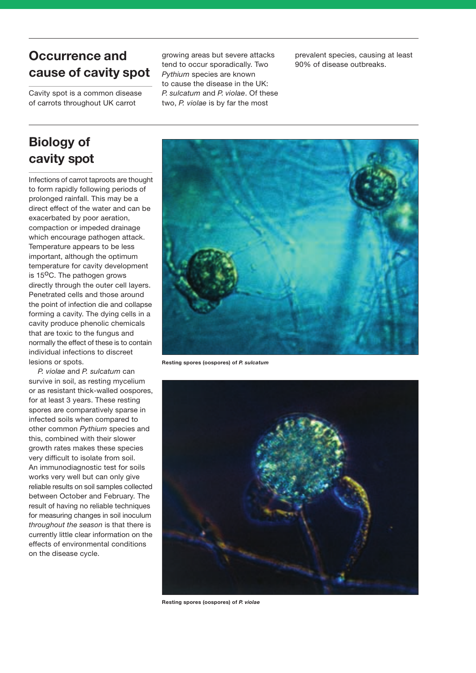# **Occurrence and cause of cavity spot**

Cavity spot is a common disease of carrots throughout UK carrot

growing areas but severe attacks tend to occur sporadically. Two *Pythium* species are known to cause the disease in the UK: *P. sulcatum* and *P. violae*. Of these two, *P. violae* is by far the most

prevalent species, causing at least 90% of disease outbreaks.

# **Biology of cavity spot**

Infections of carrot taproots are thought to form rapidly following periods of prolonged rainfall. This may be a direct effect of the water and can be exacerbated by poor aeration, compaction or impeded drainage which encourage pathogen attack. Temperature appears to be less important, although the optimum temperature for cavity development is  $15^{\circ}$ C. The pathogen grows directly through the outer cell layers. Penetrated cells and those around the point of infection die and collapse forming a cavity. The dying cells in a cavity produce phenolic chemicals that are toxic to the fungus and normally the effect of these is to contain individual infections to discreet lesions or spots.

*P. violae* and *P. sulcatum* can survive in soil, as resting mycelium or as resistant thick-walled oospores, for at least 3 years. These resting spores are comparatively sparse in infected soils when compared to other common *Pythium* species and this, combined with their slower growth rates makes these species very difficult to isolate from soil. An immunodiagnostic test for soils works very well but can only give reliable results on soil samples collected between October and February. The result of having no reliable techniques for measuring changes in soil inoculum *throughout the season* is that there is currently little clear information on the effects of environmental conditions on the disease cycle.



**Resting spores (oospores) of** *P. sulcatum*



**Resting spores (oospores) of** *P. violae*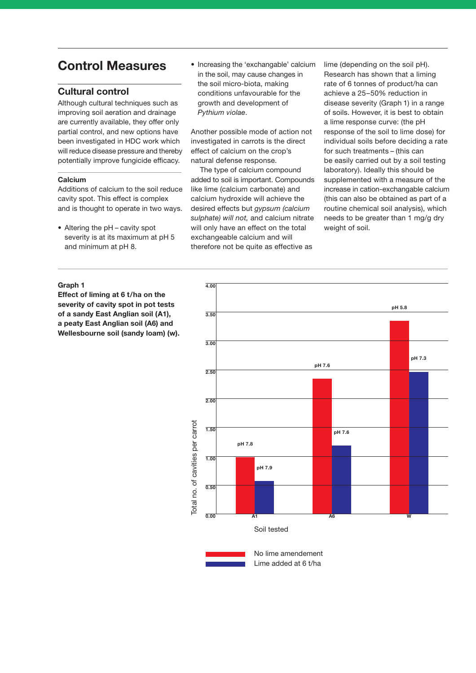# **Control Measures**

# **Cultural control**

Although cultural techniques such as improving soil aeration and drainage are currently available, they offer only partial control, and new options have been investigated in HDC work which will reduce disease pressure and thereby potentially improve fungicide efficacy.

### **Calcium**

Additions of calcium to the soil reduce cavity spot. This effect is complex and is thought to operate in two ways.

• Altering the pH – cavity spot severity is at its maximum at pH 5 and minimum at pH 8.

### **Graph 1**

**Effect of liming at 6 t/ha on the severity of cavity spot in pot tests of a sandy East Anglian soil (A1), a peaty East Anglian soil (A6) and Wellesbourne soil (sandy loam) (w).**  • Increasing the 'exchangable' calcium in the soil, may cause changes in the soil micro-biota, making conditions unfavourable for the growth and development of *Pythium violae*.

Another possible mode of action not investigated in carrots is the direct effect of calcium on the crop's natural defense response.

The type of calcium compound added to soil is important. Compounds like lime (calcium carbonate) and calcium hydroxide will achieve the desired effects but *gypsum (calcium sulphate) will not,* and calcium nitrate will only have an effect on the total exchangeable calcium and will therefore not be quite as effective as

lime (depending on the soil pH). Research has shown that a liming rate of 6 tonnes of product/ha can achieve a 25–50% reduction in disease severity (Graph 1) in a range of soils. However, it is best to obtain a lime response curve: (the pH response of the soil to lime dose) for individual soils before deciding a rate for such treatments – (this can be easily carried out by a soil testing laboratory). Ideally this should be supplemented with a measure of the increase in cation-exchangable calcium (this can also be obtained as part of a routine chemical soil analysis), which needs to be greater than 1 mg/g dry weight of soil.



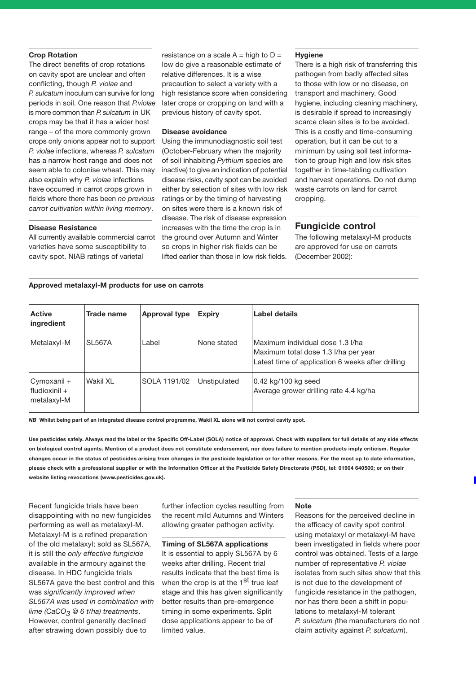#### **Crop Rotation**

The direct benefits of crop rotations on cavity spot are unclear and often conflicting, though *P. violae* and *P. sulcatum* inoculum can survive for long periods in soil. One reason that *P.violae* is more common than *P. sulcatum* in UK crops may be that it has a wider host range – of the more commonly grown crops only onions appear not to support *P. violae* infections, whereas *P. sulcatum* has a narrow host range and does not seem able to colonise wheat. This may also explain why *P. violae* infections have occurred in carrot crops grown in fields where there has been *no previous carrot cultivation within living memory*.

#### **Disease Resistance**

All currently available commercial carrot varieties have some susceptibility to cavity spot. NIAB ratings of varietal

resistance on a scale  $A = high to D =$ low do give a reasonable estimate of relative differences. It is a wise precaution to select a variety with a high resistance score when considering later crops or cropping on land with a previous history of cavity spot.

#### **Disease avoidance**

Using the immunodiagnostic soil test (October-February when the majority of soil inhabiting *Pythium* species are inactive) to give an indication of potential disease risks, cavity spot can be avoided either by selection of sites with low risk ratings or by the timing of harvesting on sites were there is a known risk of disease. The risk of disease expression increases with the time the crop is in the ground over Autumn and Winter so crops in higher risk fields can be lifted earlier than those in low risk fields.

#### **Hygiene**

There is a high risk of transferring this pathogen from badly affected sites to those with low or no disease, on transport and machinery. Good hygiene, including cleaning machinery, is desirable if spread to increasingly scarce clean sites is to be avoided. This is a costly and time-consuming operation, but it can be cut to a minimum by using soil test information to group high and low risk sites together in time-tabling cultivation and harvest operations. Do not dump waste carrots on land for carrot cropping.

# **Fungicide control**

The following metalaxyl-M products are approved for use on carrots (December 2002):

### **Approved metalaxyl-M products for use on carrots**

| <b>Active</b><br>ingredient                | Trade name    | <b>Approval type</b> | <b>Expiry</b> | Label details                                                                                                                 |
|--------------------------------------------|---------------|----------------------|---------------|-------------------------------------------------------------------------------------------------------------------------------|
| Metalaxyl-M                                | <b>SL567A</b> | Label                | None stated   | Maximum individual dose 1.3 I/ha<br>Maximum total dose 1.3 I/ha per year<br>Latest time of application 6 weeks after drilling |
| Cymoxanil +<br>Hudioxinil +<br>metalaxyl-M | Wakil XL      | SOLA 1191/02         | Unstipulated  | 0.42 kg/100 kg seed<br>Average grower drilling rate 4.4 kg/ha                                                                 |

*NB* **Whilst being part of an integrated disease control programme, Wakil XL alone will not control cavity spot.**

**Use pesticides safely. Always read the label or the Specific Off-Label (SOLA) notice of approval. Check with suppliers for full details of any side effects on biological control agents. Mention of a product does not constitute endorsement, nor does failure to mention products imply criticism. Regular changes occur in the status of pesticides arising from changes in the pesticide legislation or for other reasons. For the most up to date information, please check with a professional supplier or with the Information Officer at the Pesticide Safety Directorate (PSD), tel: 01904 640500; or on their website listing revocations (www.pesticides.gov.uk).**

Recent fungicide trials have been disappointing with no new fungicides performing as well as metalaxyl-M. Metalaxyl-M is a refined preparation of the old metalaxyl; sold as SL567A, it is still the *only effective fungicide* available in the armoury against the disease. In HDC fungicide trials SL567A gave the best control and this was *significantly improved when SL567A was used in combination with lime (CaCO3 @ 6 t/ha) treatments*. However, control generally declined after strawing down possibly due to

further infection cycles resulting from the recent mild Autumns and Winters allowing greater pathogen activity.

### **Timing of SL567A applications**

It is essential to apply SL567A by 6 weeks after drilling. Recent trial results indicate that the best time is when the crop is at the 1<sup>st</sup> true leaf stage and this has given significantly better results than pre-emergence timing in some experiments. Split dose applications appear to be of limited value.

#### **Note**

Reasons for the perceived decline in the efficacy of cavity spot control using metalaxyl or metalaxyl-M have been investigated in fields where poor control was obtained. Tests of a large number of representative *P. violae* isolates from such sites show that this is not due to the development of fungicide resistance in the pathogen. nor has there been a shift in populations to metalaxyl-M tolerant *P. sulcatum (*the manufacturers do not claim activity against *P. sulcatum*).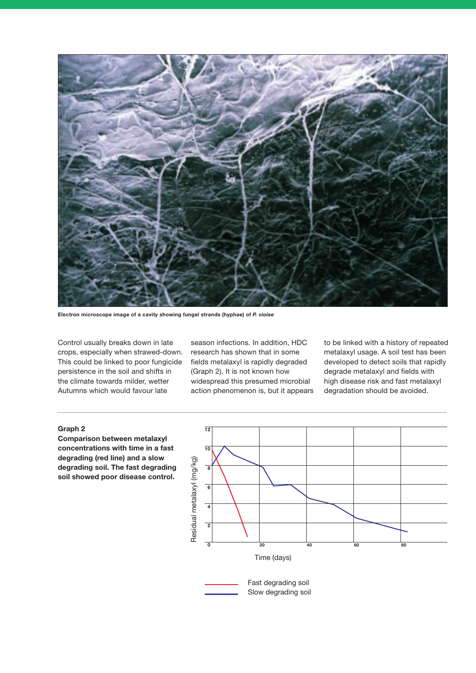

**Electron microscope image of a cavity showing fungel strands (hyphae) of** *P. violae*

Control usually breaks down in late crops, especially when strawed-down. This could be linked to poor fungicide persistence in the soil and shifts in the climate towards milder, wetter Autumns which would favour late

season infections. In addition, HDC research has shown that in some fields metalaxyl is rapidly degraded (Graph 2). It is not known how widespread this presumed microbial action phenomenon is, but it appears to be linked with a history of repeated metalaxyl usage. A soil test has been developed to detect soils that rapidly degrade metalaxyl and fields with high disease risk and fast metalaxyl degradation should be avoided.

## **Graph 2**

**Comparison between metalaxyl concentrations with time in a fast degrading (red line) and a slow degrading soil. The fast degrading soil showed poor disease control.**



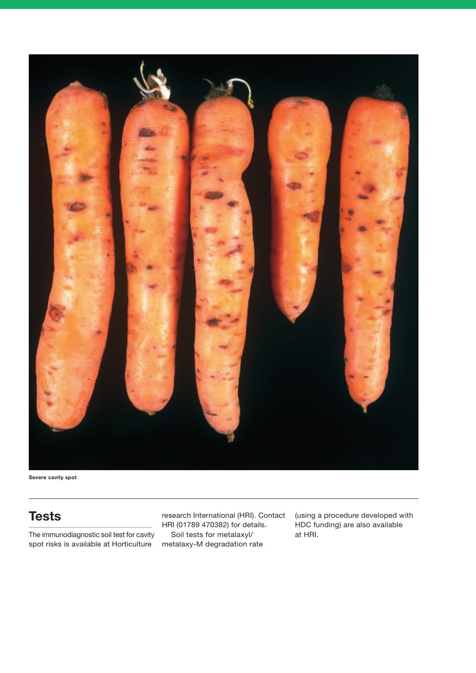

**Severe cavity spot**

# **Tests**

The immunodiagnostic soil test for cavity spot risks is available at Horticulture

research International (HRI). Contact HRI (01789 470382) for details. Soil tests for metalaxyl/ metalaxy-M degradation rate

(using a procedure developed with HDC funding) are also available at HRI.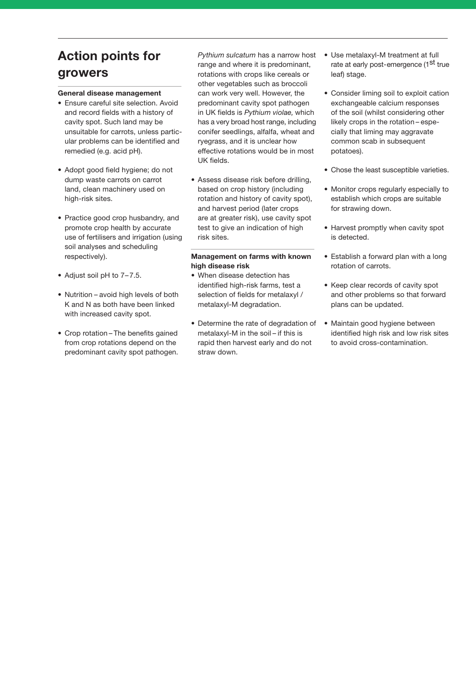# **Action points for growers**

### **General disease management**

- Ensure careful site selection. Avoid and record fields with a history of cavity spot. Such land may be unsuitable for carrots, unless particular problems can be identified and remedied (e.g. acid pH).
- Adopt good field hygiene; do not dump waste carrots on carrot land, clean machinery used on high-risk sites.
- Practice good crop husbandry, and promote crop health by accurate use of fertilisers and irrigation (using soil analyses and scheduling respectively).
- Adjust soil pH to 7–7.5.
- Nutrition avoid high levels of both K and N as both have been linked with increased cavity spot.
- Crop rotation The benefits gained from crop rotations depend on the predominant cavity spot pathogen.

*Pythium sulcatum* has a narrow host range and where it is predominant, rotations with crops like cereals or other vegetables such as broccoli can work very well. However, the predominant cavity spot pathogen in UK fields is *Pythium violae,* which has a very broad host range, including conifer seedlings, alfalfa, wheat and ryegrass, and it is unclear how effective rotations would be in most UK fields.

• Assess disease risk before drilling, based on crop history (including rotation and history of cavity spot), and harvest period (later crops are at greater risk), use cavity spot test to give an indication of high risk sites.

### **Management on farms with known high disease risk**

- When disease detection has identified high-risk farms, test a selection of fields for metalaxyl / metalaxyl-M degradation.
- Determine the rate of degradation of metalaxyl-M in the soil – if this is rapid then harvest early and do not straw down.
- Use metalaxyl-M treatment at full rate at early post-emergence (1st true leaf) stage.
- Consider liming soil to exploit cation exchangeable calcium responses of the soil (whilst considering other likely crops in the rotation – especially that liming may aggravate common scab in subsequent potatoes).
- Chose the least susceptible varieties.
- Monitor crops regularly especially to establish which crops are suitable for strawing down.
- Harvest promptly when cavity spot is detected.
- Establish a forward plan with a long rotation of carrots.
- Keep clear records of cavity spot and other problems so that forward plans can be updated.
- Maintain good hygiene between identified high risk and low risk sites to avoid cross-contamination.